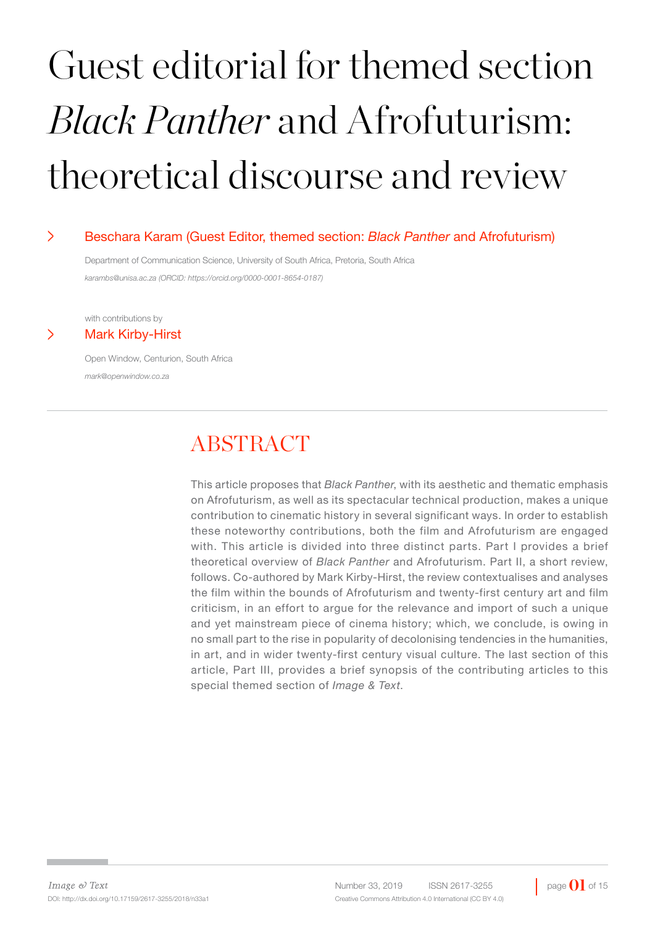# Guest editorial for themed section *Black Panther* and Afrofuturism: theoretical discourse and review

#### > Beschara Karam (Guest Editor, themed section: *Black Panther* and Afrofuturism)

Department of Communication Science, University of South Africa, Pretoria, South Africa *karambs@unisa.ac.za (ORCID: https://orcid.org/0000-0001-8654-0187)*

with contributions by

#### > Mark Kirby-Hirst

Open Window, Centurion, South Africa *mark@openwindow.co.za* 

# **ABSTRACT**

This article proposes that *Black Panther*, with its aesthetic and thematic emphasis on Afrofuturism, as well as its spectacular technical production, makes a unique contribution to cinematic history in several significant ways. In order to establish these noteworthy contributions, both the film and Afrofuturism are engaged with. This article is divided into three distinct parts. Part I provides a brief theoretical overview of *Black Panther* and Afrofuturism. Part II, a short review, follows. Co-authored by Mark Kirby-Hirst, the review contextualises and analyses the film within the bounds of Afrofuturism and twenty-first century art and film criticism, in an effort to argue for the relevance and import of such a unique and yet mainstream piece of cinema history; which, we conclude, is owing in no small part to the rise in popularity of decolonising tendencies in the humanities, in art, and in wider twenty-first century visual culture. The last section of this article, Part III, provides a brief synopsis of the contributing articles to this special themed section of *Image & Text*.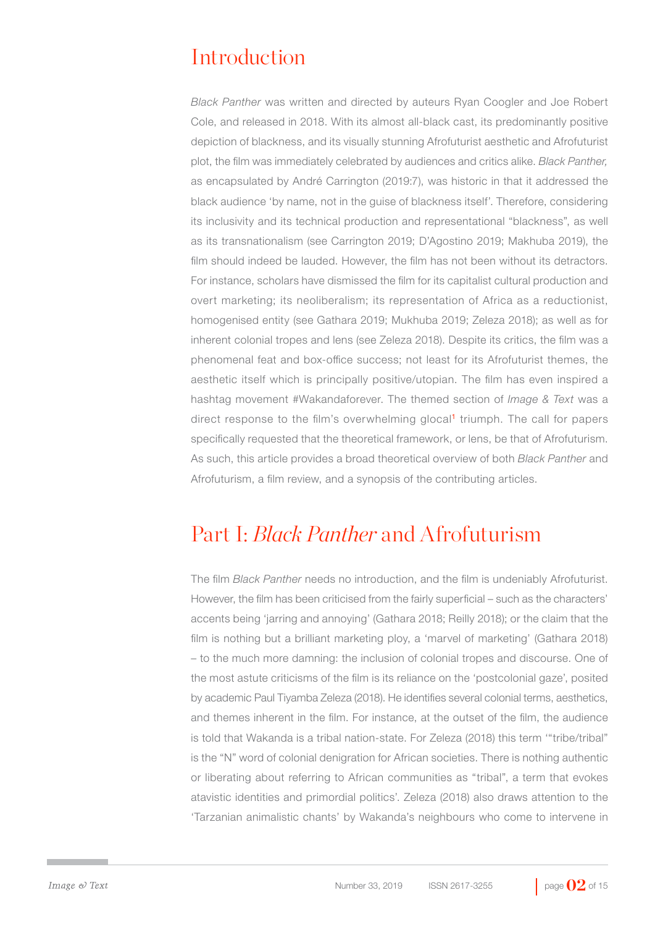# Introduction

*Black Panther* was written and directed by auteurs Ryan Coogler and Joe Robert Cole, and released in 2018. With its almost all-black cast, its predominantly positive depiction of blackness, and its visually stunning Afrofuturist aesthetic and Afrofuturist plot, the film was immediately celebrated by audiences and critics alike. *Black Panther,*  as encapsulated by André Carrington (2019:7), was historic in that it addressed the black audience 'by name, not in the guise of blackness itself'. Therefore, considering its inclusivity and its technical production and representational "blackness", as well as its transnationalism (see Carrington 2019; D'Agostino 2019; Makhuba 2019), the film should indeed be lauded. However, the film has not been without its detractors. For instance, scholars have dismissed the film for its capitalist cultural production and overt marketing; its neoliberalism; its representation of Africa as a reductionist, homogenised entity (see Gathara 2019; Mukhuba 2019; Zeleza 2018); as well as for inherent colonial tropes and lens (see Zeleza 2018). Despite its critics, the film was a phenomenal feat and box-office success; not least for its Afrofuturist themes, the aesthetic itself which is principally positive/utopian. The film has even inspired a hashtag movement #Wakandaforever. The themed section of *Image & Text* was a direct response to the film's overwhelming glocal<sup>1</sup> triumph. The call for papers specifically requested that the theoretical framework, or lens, be that of Afrofuturism. As such, this article provides a broad theoretical overview of both *Black Panther* and Afrofuturism, a film review, and a synopsis of the contributing articles.

## Part I: *Black Panther* and Afrofuturism

The film *Black Panther* needs no introduction, and the film is undeniably Afrofuturist. However, the film has been criticised from the fairly superficial – such as the characters' accents being 'jarring and annoying' (Gathara 2018; Reilly 2018); or the claim that the film is nothing but a brilliant marketing ploy, a 'marvel of marketing' (Gathara 2018) – to the much more damning: the inclusion of colonial tropes and discourse. One of the most astute criticisms of the film is its reliance on the 'postcolonial gaze', posited by academic Paul Tiyamba Zeleza (2018). He identifies several colonial terms, aesthetics, and themes inherent in the film. For instance, at the outset of the film, the audience is told that Wakanda is a tribal nation-state. For Zeleza (2018) this term '"tribe/tribal" is the "N" word of colonial denigration for African societies. There is nothing authentic or liberating about referring to African communities as "tribal", a term that evokes atavistic identities and primordial politics'. Zeleza (2018) also draws attention to the 'Tarzanian animalistic chants' by Wakanda's neighbours who come to intervene in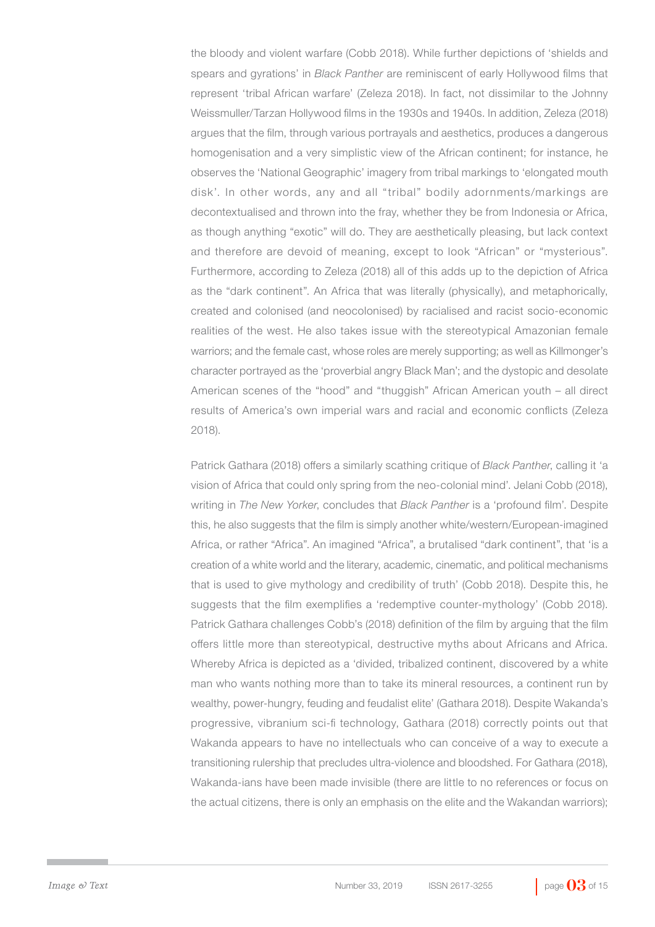the bloody and violent warfare (Cobb 2018). While further depictions of 'shields and spears and gyrations' in *Black Panther* are reminiscent of early Hollywood films that represent 'tribal African warfare' (Zeleza 2018). In fact, not dissimilar to the Johnny Weissmuller/Tarzan Hollywood films in the 1930s and 1940s. In addition, Zeleza (2018) argues that the film, through various portrayals and aesthetics, produces a dangerous homogenisation and a very simplistic view of the African continent; for instance, he observes the 'National Geographic' imagery from tribal markings to 'elongated mouth disk'. In other words, any and all "tribal" bodily adornments/markings are decontextualised and thrown into the fray, whether they be from Indonesia or Africa, as though anything "exotic" will do. They are aesthetically pleasing, but lack context and therefore are devoid of meaning, except to look "African" or "mysterious". Furthermore, according to Zeleza (2018) all of this adds up to the depiction of Africa as the "dark continent". An Africa that was literally (physically), and metaphorically, created and colonised (and neocolonised) by racialised and racist socio-economic realities of the west. He also takes issue with the stereotypical Amazonian female warriors; and the female cast, whose roles are merely supporting; as well as Killmonger's character portrayed as the 'proverbial angry Black Man'; and the dystopic and desolate American scenes of the "hood" and "thuggish" African American youth – all direct results of America's own imperial wars and racial and economic conflicts (Zeleza 2018).

Patrick Gathara (2018) offers a similarly scathing critique of *Black Panther*, calling it 'a vision of Africa that could only spring from the neo-colonial mind'. Jelani Cobb (2018), writing in *The New Yorker*, concludes that *Black Panther* is a 'profound film'. Despite this, he also suggests that the film is simply another white/western/European-imagined Africa, or rather "Africa". An imagined "Africa", a brutalised "dark continent", that 'is a creation of a white world and the literary, academic, cinematic, and political mechanisms that is used to give mythology and credibility of truth' (Cobb 2018). Despite this, he suggests that the film exemplifies a 'redemptive counter-mythology' (Cobb 2018). Patrick Gathara challenges Cobb's (2018) definition of the film by arguing that the film offers little more than stereotypical, destructive myths about Africans and Africa. Whereby Africa is depicted as a 'divided, tribalized continent, discovered by a white man who wants nothing more than to take its mineral resources, a continent run by wealthy, power-hungry, feuding and feudalist elite' (Gathara 2018). Despite Wakanda's progressive, vibranium sci-fi technology, Gathara (2018) correctly points out that Wakanda appears to have no intellectuals who can conceive of a way to execute a transitioning rulership that precludes ultra-violence and bloodshed. For Gathara (2018), Wakanda-ians have been made invisible (there are little to no references or focus on the actual citizens, there is only an emphasis on the elite and the Wakandan warriors);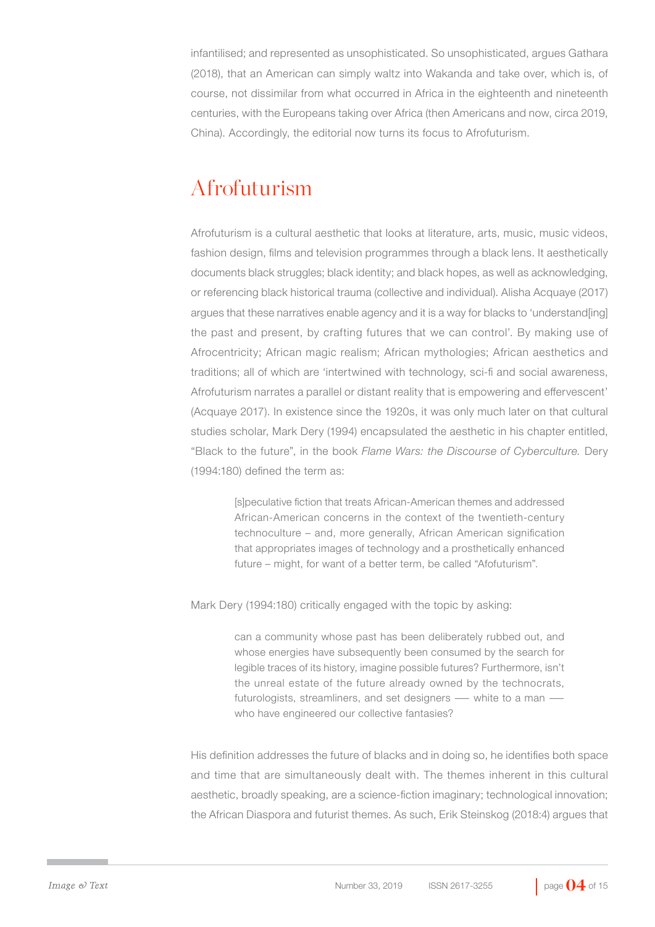infantilised; and represented as unsophisticated. So unsophisticated, argues Gathara (2018), that an American can simply waltz into Wakanda and take over, which is, of course, not dissimilar from what occurred in Africa in the eighteenth and nineteenth centuries, with the Europeans taking over Africa (then Americans and now, circa 2019, China). Accordingly, the editorial now turns its focus to Afrofuturism.

## Afrofuturism

Afrofuturism is a cultural aesthetic that looks at literature, arts, music, music videos, fashion design, films and television programmes through a black lens. It aesthetically documents black struggles; black identity; and black hopes, as well as acknowledging, or referencing black historical trauma (collective and individual). Alisha Acquaye (2017) argues that these narratives enable agency and it is a way for blacks to 'understand[ing] the past and present, by crafting futures that we can control'. By making use of Afrocentricity; African magic realism; African mythologies; African aesthetics and traditions; all of which are 'intertwined with technology, sci-fi and social awareness, Afrofuturism narrates a parallel or distant reality that is empowering and effervescent' (Acquaye 2017). In existence since the 1920s, it was only much later on that cultural studies scholar, Mark Dery (1994) encapsulated the aesthetic in his chapter entitled, "Black to the future", in the book *Flame Wars: the Discourse of Cyberculture.* Dery (1994:180) defined the term as:

> [s]peculative fiction that treats African-American themes and addressed African-American concerns in the context of the twentieth-century technoculture – and, more generally, African American signification that appropriates images of technology and a prosthetically enhanced future – might, for want of a better term, be called "Afofuturism".

Mark Dery (1994:180) critically engaged with the topic by asking:

can a community whose past has been deliberately rubbed out, and whose energies have subsequently been consumed by the search for legible traces of its history, imagine possible futures? Furthermore, isn't the unreal estate of the future already owned by the technocrats, futurologists, streamliners, and set designers ― white to a man ― who have engineered our collective fantasies?

His definition addresses the future of blacks and in doing so, he identifies both space and time that are simultaneously dealt with. The themes inherent in this cultural aesthetic, broadly speaking, are a science-fiction imaginary; technological innovation; the African Diaspora and futurist themes. As such, Erik Steinskog (2018:4) argues that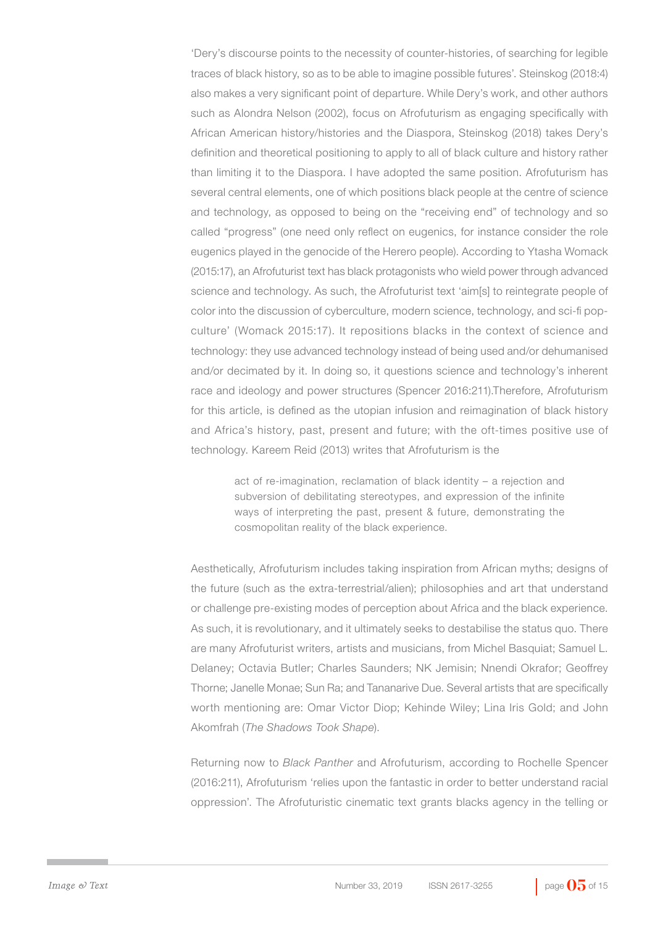'Dery's discourse points to the necessity of counter-histories, of searching for legible traces of black history, so as to be able to imagine possible futures'. Steinskog (2018:4) also makes a very significant point of departure. While Dery's work, and other authors such as Alondra Nelson (2002), focus on Afrofuturism as engaging specifically with African American history/histories and the Diaspora, Steinskog (2018) takes Dery's definition and theoretical positioning to apply to all of black culture and history rather than limiting it to the Diaspora. I have adopted the same position. Afrofuturism has several central elements, one of which positions black people at the centre of science and technology, as opposed to being on the "receiving end" of technology and so called "progress" (one need only reflect on eugenics, for instance consider the role eugenics played in the genocide of the Herero people). According to Ytasha Womack (2015:17), an Afrofuturist text has black protagonists who wield power through advanced science and technology. As such, the Afrofuturist text 'aim[s] to reintegrate people of color into the discussion of cyberculture, modern science, technology, and sci-fi popculture' (Womack 2015:17). It repositions blacks in the context of science and technology: they use advanced technology instead of being used and/or dehumanised and/or decimated by it. In doing so, it questions science and technology's inherent race and ideology and power structures (Spencer 2016:211).Therefore, Afrofuturism for this article, is defined as the utopian infusion and reimagination of black history and Africa's history, past, present and future; with the oft-times positive use of technology. Kareem Reid (2013) writes that Afrofuturism is the

> act of re-imagination, reclamation of black identity – a rejection and subversion of debilitating stereotypes, and expression of the infinite ways of interpreting the past, present & future, demonstrating the cosmopolitan reality of the black experience.

Aesthetically, Afrofuturism includes taking inspiration from African myths; designs of the future (such as the extra-terrestrial/alien); philosophies and art that understand or challenge pre-existing modes of perception about Africa and the black experience. As such, it is revolutionary, and it ultimately seeks to destabilise the status quo. There are many Afrofuturist writers, artists and musicians, from Michel Basquiat; Samuel L. Delaney; Octavia Butler; Charles Saunders; NK Jemisin; Nnendi Okrafor; Geoffrey Thorne; Janelle Monae; Sun Ra; and Tananarive Due. Several artists that are specifically worth mentioning are: Omar Victor Diop; Kehinde Wiley; Lina Iris Gold; and John Akomfrah (*The Shadows Took Shape*).

Returning now to *Black Panther* and Afrofuturism, according to Rochelle Spencer (2016:211), Afrofuturism 'relies upon the fantastic in order to better understand racial oppression'. The Afrofuturistic cinematic text grants blacks agency in the telling or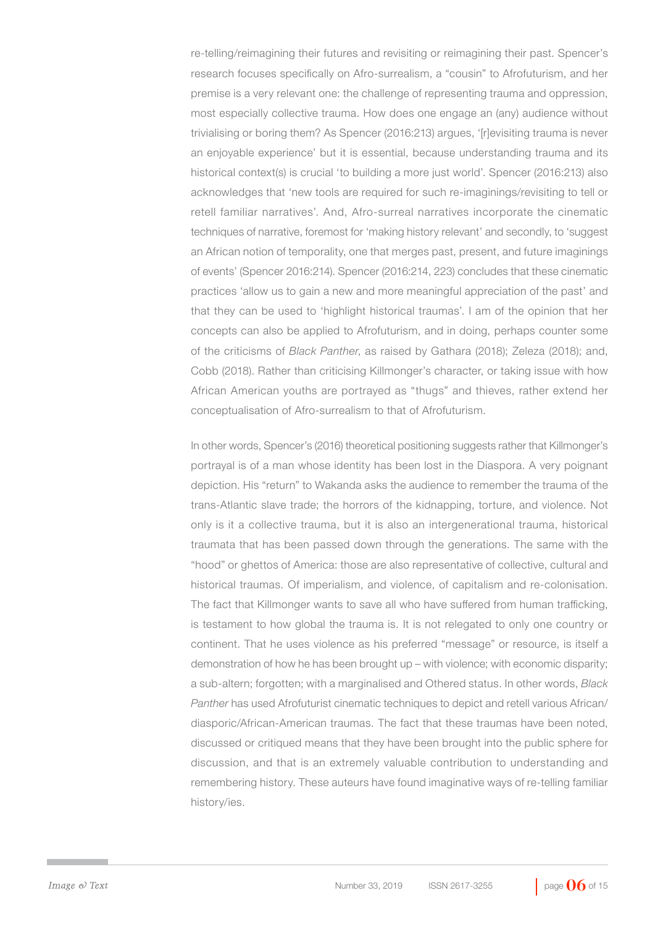re-telling/reimagining their futures and revisiting or reimagining their past. Spencer's research focuses specifically on Afro-surrealism, a "cousin" to Afrofuturism, and her premise is a very relevant one: the challenge of representing trauma and oppression, most especially collective trauma. How does one engage an (any) audience without trivialising or boring them? As Spencer (2016:213) argues, '[r]evisiting trauma is never an enjoyable experience' but it is essential, because understanding trauma and its historical context(s) is crucial 'to building a more just world'. Spencer (2016:213) also acknowledges that 'new tools are required for such re-imaginings/revisiting to tell or retell familiar narratives'. And, Afro-surreal narratives incorporate the cinematic techniques of narrative, foremost for 'making history relevant' and secondly, to 'suggest an African notion of temporality, one that merges past, present, and future imaginings of events' (Spencer 2016:214). Spencer (2016:214, 223) concludes that these cinematic practices 'allow us to gain a new and more meaningful appreciation of the past' and that they can be used to 'highlight historical traumas'. I am of the opinion that her concepts can also be applied to Afrofuturism, and in doing, perhaps counter some of the criticisms of *Black Panther*, as raised by Gathara (2018); Zeleza (2018); and, Cobb (2018). Rather than criticising Killmonger's character, or taking issue with how African American youths are portrayed as "thugs" and thieves, rather extend her conceptualisation of Afro-surrealism to that of Afrofuturism.

In other words, Spencer's (2016) theoretical positioning suggests rather that Killmonger's portrayal is of a man whose identity has been lost in the Diaspora. A very poignant depiction. His "return" to Wakanda asks the audience to remember the trauma of the trans-Atlantic slave trade; the horrors of the kidnapping, torture, and violence. Not only is it a collective trauma, but it is also an intergenerational trauma, historical traumata that has been passed down through the generations. The same with the "hood" or ghettos of America: those are also representative of collective, cultural and historical traumas. Of imperialism, and violence, of capitalism and re-colonisation. The fact that Killmonger wants to save all who have suffered from human trafficking, is testament to how global the trauma is. It is not relegated to only one country or continent. That he uses violence as his preferred "message" or resource, is itself a demonstration of how he has been brought up – with violence; with economic disparity; a sub-altern; forgotten; with a marginalised and Othered status. In other words, *Black Panther* has used Afrofuturist cinematic techniques to depict and retell various African/ diasporic/African-American traumas. The fact that these traumas have been noted, discussed or critiqued means that they have been brought into the public sphere for discussion, and that is an extremely valuable contribution to understanding and remembering history. These auteurs have found imaginative ways of re-telling familiar history/ies.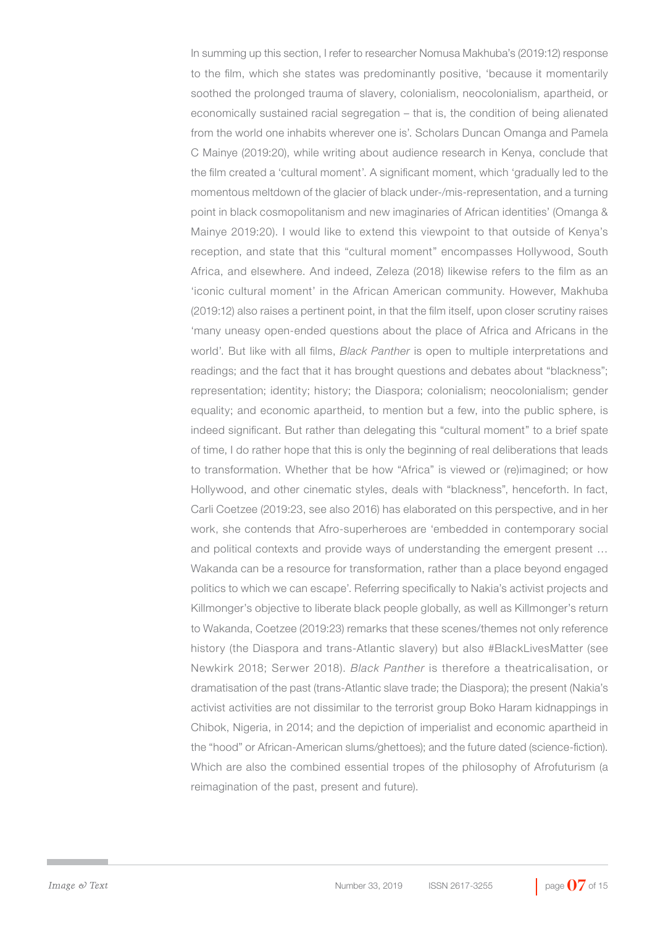In summing up this section, I refer to researcher Nomusa Makhuba's (2019:12) response to the film, which she states was predominantly positive, 'because it momentarily soothed the prolonged trauma of slavery, colonialism, neocolonialism, apartheid, or economically sustained racial segregation – that is, the condition of being alienated from the world one inhabits wherever one is'. Scholars Duncan Omanga and Pamela C Mainye (2019:20), while writing about audience research in Kenya, conclude that the film created a 'cultural moment'. A significant moment, which 'gradually led to the momentous meltdown of the glacier of black under-/mis-representation, and a turning point in black cosmopolitanism and new imaginaries of African identities' (Omanga & Mainye 2019:20). I would like to extend this viewpoint to that outside of Kenya's reception, and state that this "cultural moment" encompasses Hollywood, South Africa, and elsewhere. And indeed, Zeleza (2018) likewise refers to the film as an 'iconic cultural moment' in the African American community. However, Makhuba (2019:12) also raises a pertinent point, in that the film itself, upon closer scrutiny raises 'many uneasy open-ended questions about the place of Africa and Africans in the world'. But like with all films, *Black Panther* is open to multiple interpretations and readings; and the fact that it has brought questions and debates about "blackness"; representation; identity; history; the Diaspora; colonialism; neocolonialism; gender equality; and economic apartheid, to mention but a few, into the public sphere, is indeed significant. But rather than delegating this "cultural moment" to a brief spate of time, I do rather hope that this is only the beginning of real deliberations that leads to transformation. Whether that be how "Africa" is viewed or (re)imagined; or how Hollywood, and other cinematic styles, deals with "blackness", henceforth. In fact, Carli Coetzee (2019:23, see also 2016) has elaborated on this perspective, and in her work, she contends that Afro-superheroes are 'embedded in contemporary social and political contexts and provide ways of understanding the emergent present ... Wakanda can be a resource for transformation, rather than a place beyond engaged politics to which we can escape'. Referring specifically to Nakia's activist projects and Killmonger's objective to liberate black people globally, as well as Killmonger's return to Wakanda, Coetzee (2019:23) remarks that these scenes/themes not only reference history (the Diaspora and trans-Atlantic slavery) but also #BlackLivesMatter (see Newkirk 2018; Serwer 2018). *Black Panther* is therefore a theatricalisation, or dramatisation of the past (trans-Atlantic slave trade; the Diaspora); the present (Nakia's activist activities are not dissimilar to the terrorist group Boko Haram kidnappings in Chibok, Nigeria, in 2014; and the depiction of imperialist and economic apartheid in the "hood" or African-American slums/ghettoes); and the future dated (science-fiction). Which are also the combined essential tropes of the philosophy of Afrofuturism (a reimagination of the past, present and future).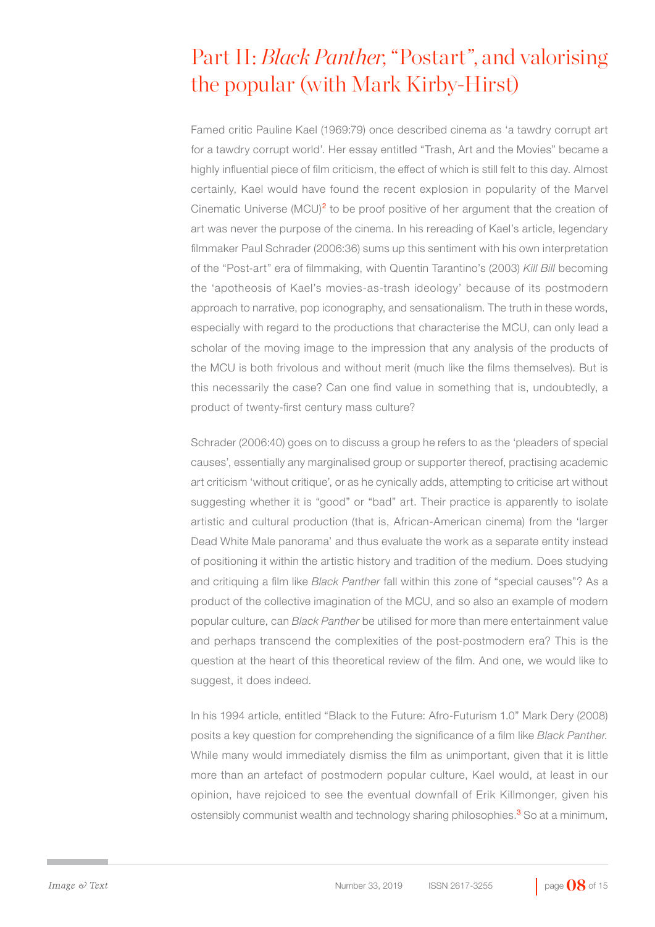# Part II: *Black Panther*, "Postart", and valorising the popular (with Mark Kirby-Hirst)

Famed critic Pauline Kael (1969:79) once described cinema as 'a tawdry corrupt art for a tawdry corrupt world'. Her essay entitled "Trash, Art and the Movies" became a highly influential piece of film criticism, the effect of which is still felt to this day. Almost certainly, Kael would have found the recent explosion in popularity of the Marvel Cinematic Universe (MCU)<sup>2</sup> to be proof positive of her argument that the creation of art was never the purpose of the cinema. In his rereading of Kael's article, legendary filmmaker Paul Schrader (2006:36) sums up this sentiment with his own interpretation of the "Post-art" era of filmmaking, with Quentin Tarantino's (2003) *Kill Bill* becoming the 'apotheosis of Kael's movies-as-trash ideology' because of its postmodern approach to narrative, pop iconography, and sensationalism. The truth in these words, especially with regard to the productions that characterise the MCU, can only lead a scholar of the moving image to the impression that any analysis of the products of the MCU is both frivolous and without merit (much like the films themselves). But is this necessarily the case? Can one find value in something that is, undoubtedly, a product of twenty-first century mass culture?

Schrader (2006:40) goes on to discuss a group he refers to as the 'pleaders of special causes', essentially any marginalised group or supporter thereof, practising academic art criticism 'without critique', or as he cynically adds, attempting to criticise art without suggesting whether it is "good" or "bad" art. Their practice is apparently to isolate artistic and cultural production (that is, African-American cinema) from the 'larger Dead White Male panorama' and thus evaluate the work as a separate entity instead of positioning it within the artistic history and tradition of the medium. Does studying and critiquing a film like *Black Panther* fall within this zone of "special causes"? As a product of the collective imagination of the MCU, and so also an example of modern popular culture, can *Black Panther* be utilised for more than mere entertainment value and perhaps transcend the complexities of the post-postmodern era? This is the question at the heart of this theoretical review of the film. And one, we would like to suggest, it does indeed.

In his 1994 article, entitled "Black to the Future: Afro-Futurism 1.0" Mark Dery (2008) posits a key question for comprehending the significance of a film like *Black Panther.*  While many would immediately dismiss the film as unimportant, given that it is little more than an artefact of postmodern popular culture, Kael would, at least in our opinion, have rejoiced to see the eventual downfall of Erik Killmonger, given his ostensibly communist wealth and technology sharing philosophies.<sup>3</sup> So at a minimum,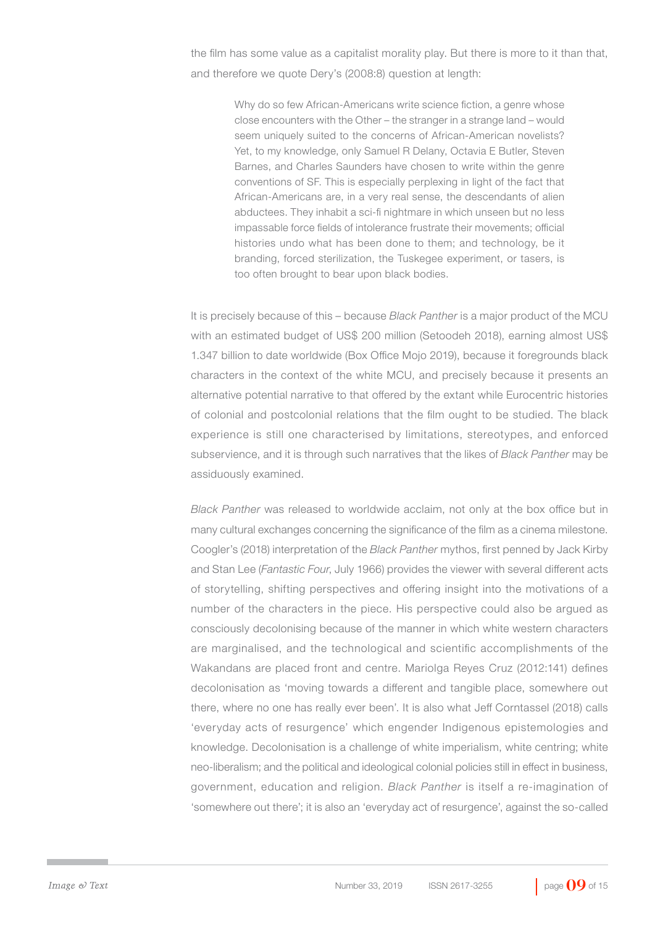the film has some value as a capitalist morality play. But there is more to it than that, and therefore we quote Dery's (2008:8) question at length:

> Why do so few African-Americans write science fiction, a genre whose close encounters with the Other – the stranger in a strange land – would seem uniquely suited to the concerns of African-American novelists? Yet, to my knowledge, only Samuel R Delany, Octavia E Butler, Steven Barnes, and Charles Saunders have chosen to write within the genre conventions of SF. This is especially perplexing in light of the fact that African-Americans are, in a very real sense, the descendants of alien abductees. They inhabit a sci-fi nightmare in which unseen but no less impassable force fields of intolerance frustrate their movements; official histories undo what has been done to them; and technology, be it branding, forced sterilization, the Tuskegee experiment, or tasers, is too often brought to bear upon black bodies.

It is precisely because of this – because *Black Panther* is a major product of the MCU with an estimated budget of US\$ 200 million (Setoodeh 2018), earning almost US\$ 1.347 billion to date worldwide (Box Office Mojo 2019), because it foregrounds black characters in the context of the white MCU, and precisely because it presents an alternative potential narrative to that offered by the extant while Eurocentric histories of colonial and postcolonial relations that the film ought to be studied. The black experience is still one characterised by limitations, stereotypes, and enforced subservience, and it is through such narratives that the likes of *Black Panther* may be assiduously examined.

*Black Panther* was released to worldwide acclaim, not only at the box office but in many cultural exchanges concerning the significance of the film as a cinema milestone. Coogler's (2018) interpretation of the *Black Panther* mythos, first penned by Jack Kirby and Stan Lee (*Fantastic Four*, July 1966) provides the viewer with several different acts of storytelling, shifting perspectives and offering insight into the motivations of a number of the characters in the piece. His perspective could also be argued as consciously decolonising because of the manner in which white western characters are marginalised, and the technological and scientific accomplishments of the Wakandans are placed front and centre. Mariolga Reyes Cruz (2012:141) defines decolonisation as 'moving towards a different and tangible place, somewhere out there, where no one has really ever been'. It is also what Jeff Corntassel (2018) calls 'everyday acts of resurgence' which engender Indigenous epistemologies and knowledge. Decolonisation is a challenge of white imperialism, white centring; white neo-liberalism; and the political and ideological colonial policies still in effect in business, government, education and religion. *Black Panther* is itself a re-imagination of 'somewhere out there'; it is also an 'everyday act of resurgence', against the so-called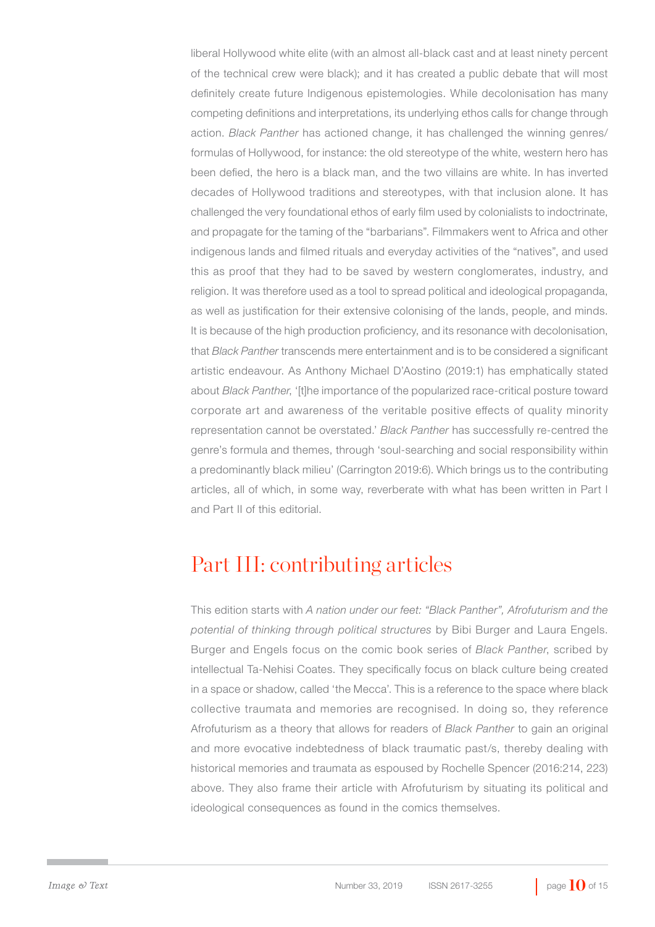liberal Hollywood white elite (with an almost all-black cast and at least ninety percent of the technical crew were black); and it has created a public debate that will most definitely create future Indigenous epistemologies. While decolonisation has many competing definitions and interpretations, its underlying ethos calls for change through action. *Black Panther* has actioned change, it has challenged the winning genres/ formulas of Hollywood, for instance: the old stereotype of the white, western hero has been defied, the hero is a black man, and the two villains are white. In has inverted decades of Hollywood traditions and stereotypes, with that inclusion alone. It has challenged the very foundational ethos of early film used by colonialists to indoctrinate, and propagate for the taming of the "barbarians". Filmmakers went to Africa and other indigenous lands and filmed rituals and everyday activities of the "natives", and used this as proof that they had to be saved by western conglomerates, industry, and religion. It was therefore used as a tool to spread political and ideological propaganda, as well as justification for their extensive colonising of the lands, people, and minds. It is because of the high production proficiency, and its resonance with decolonisation, that *Black Panther* transcends mere entertainment and is to be considered a significant artistic endeavour. As Anthony Michael D'Aostino (2019:1) has emphatically stated about *Black Panther*, '[t]he importance of the popularized race-critical posture toward corporate art and awareness of the veritable positive effects of quality minority representation cannot be overstated.' *Black Panther* has successfully re-centred the genre's formula and themes, through 'soul-searching and social responsibility within a predominantly black milieu' (Carrington 2019:6). Which brings us to the contributing articles, all of which, in some way, reverberate with what has been written in Part I and Part II of this editorial.

#### Part III: contributing articles

This edition starts with *A nation under our feet: "Black Panther", Afrofuturism and the potential of thinking through political structures* by Bibi Burger and Laura Engels. Burger and Engels focus on the comic book series of *Black Panther*, scribed by intellectual Ta-Nehisi Coates. They specifically focus on black culture being created in a space or shadow, called 'the Mecca'. This is a reference to the space where black collective traumata and memories are recognised. In doing so, they reference Afrofuturism as a theory that allows for readers of *Black Panther* to gain an original and more evocative indebtedness of black traumatic past/s, thereby dealing with historical memories and traumata as espoused by Rochelle Spencer (2016:214, 223) above. They also frame their article with Afrofuturism by situating its political and ideological consequences as found in the comics themselves.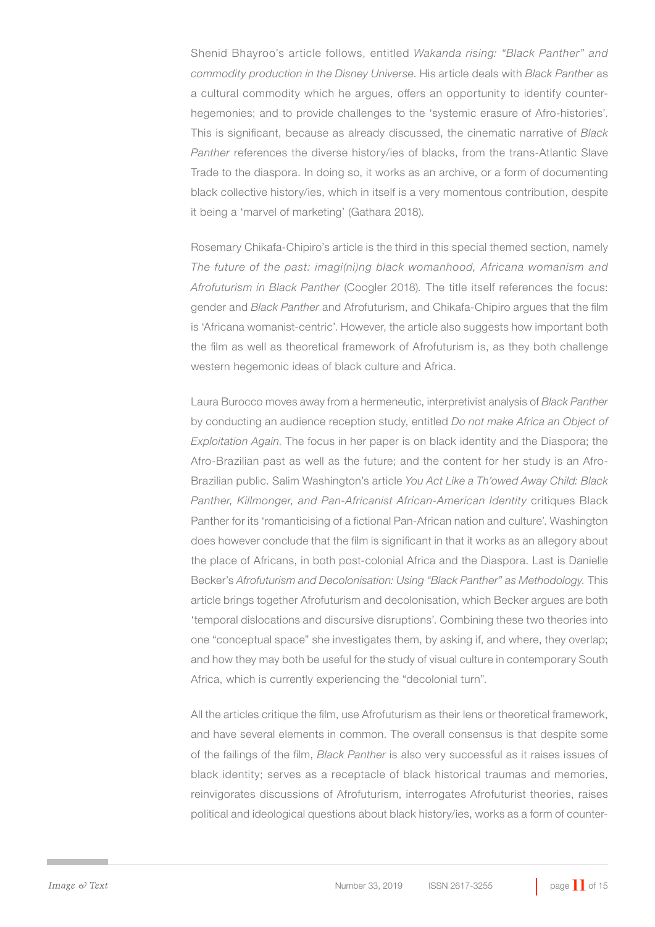Shenid Bhayroo's article follows, entitled *Wakanda rising: "Black Panther" and commodity production in the Disney Universe*. His article deals with *Black Panther* as a cultural commodity which he argues, offers an opportunity to identify counterhegemonies; and to provide challenges to the 'systemic erasure of Afro-histories'. This is significant, because as already discussed, the cinematic narrative of *Black Panther* references the diverse history/ies of blacks, from the trans-Atlantic Slave Trade to the diaspora. In doing so, it works as an archive, or a form of documenting black collective history/ies, which in itself is a very momentous contribution, despite it being a 'marvel of marketing' (Gathara 2018).

Rosemary Chikafa-Chipiro's article is the third in this special themed section, namely *The future of the past: imagi(ni)ng black womanhood, Africana womanism and Afrofuturism in Black Panther* (Coogler 2018)*.* The title itself references the focus: gender and *Black Panther* and Afrofuturism, and Chikafa-Chipiro argues that the film is 'Africana womanist-centric'. However, the article also suggests how important both the film as well as theoretical framework of Afrofuturism is, as they both challenge western hegemonic ideas of black culture and Africa.

Laura Burocco moves away from a hermeneutic, interpretivist analysis of *Black Panther*  by conducting an audience reception study, entitled *Do not make Africa an Object of Exploitation Again*. The focus in her paper is on black identity and the Diaspora; the Afro-Brazilian past as well as the future; and the content for her study is an Afro-Brazilian public. Salim Washington's article *You Act Like a Th'owed Away Child: Black Panther, Killmonger, and Pan-Africanist African-American Identity* critiques Black Panther for its 'romanticising of a fictional Pan-African nation and culture'. Washington does however conclude that the film is significant in that it works as an allegory about the place of Africans, in both post-colonial Africa and the Diaspora. Last is Danielle Becker's *Afrofuturism and Decolonisation: Using "Black Panther" as Methodology.* This article brings together Afrofuturism and decolonisation, which Becker argues are both 'temporal dislocations and discursive disruptions'. Combining these two theories into one "conceptual space" she investigates them, by asking if, and where, they overlap; and how they may both be useful for the study of visual culture in contemporary South Africa, which is currently experiencing the "decolonial turn".

All the articles critique the film, use Afrofuturism as their lens or theoretical framework, and have several elements in common. The overall consensus is that despite some of the failings of the film, *Black Panther* is also very successful as it raises issues of black identity; serves as a receptacle of black historical traumas and memories, reinvigorates discussions of Afrofuturism, interrogates Afrofuturist theories, raises political and ideological questions about black history/ies, works as a form of counter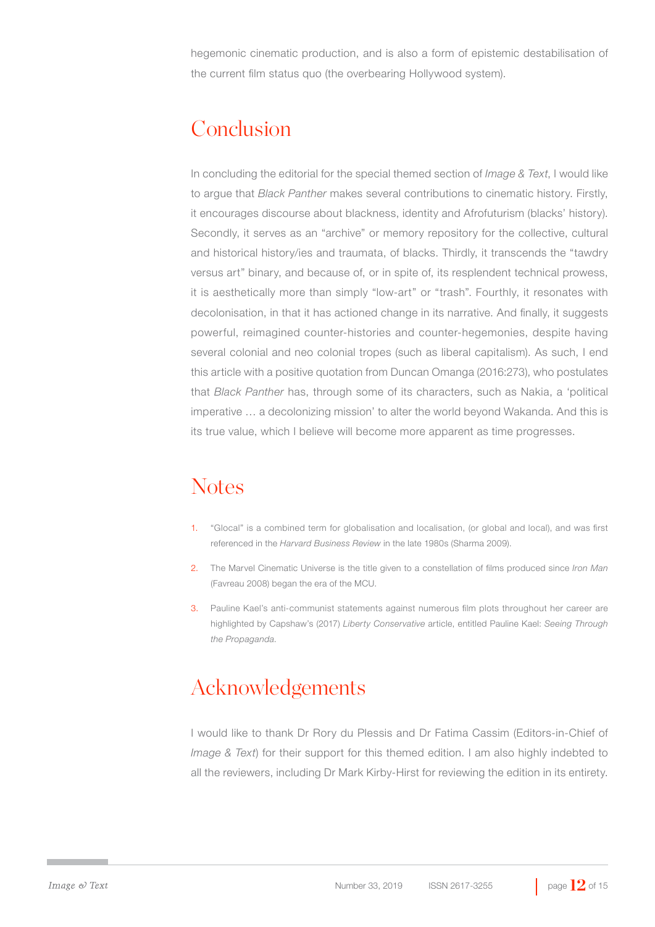hegemonic cinematic production, and is also a form of epistemic destabilisation of the current film status quo (the overbearing Hollywood system).

#### Conclusion

In concluding the editorial for the special themed section of *Image & Text*, I would like to argue that *Black Panther* makes several contributions to cinematic history. Firstly, it encourages discourse about blackness, identity and Afrofuturism (blacks' history). Secondly, it serves as an "archive" or memory repository for the collective, cultural and historical history/ies and traumata, of blacks. Thirdly, it transcends the "tawdry versus art" binary, and because of, or in spite of, its resplendent technical prowess, it is aesthetically more than simply "low-art" or "trash". Fourthly, it resonates with decolonisation, in that it has actioned change in its narrative. And finally, it suggests powerful, reimagined counter-histories and counter-hegemonies, despite having several colonial and neo colonial tropes (such as liberal capitalism). As such, I end this article with a positive quotation from Duncan Omanga (2016:273), who postulates that *Black Panther* has, through some of its characters, such as Nakia, a 'political imperative … a decolonizing mission' to alter the world beyond Wakanda. And this is its true value, which I believe will become more apparent as time progresses.

## **Notes**

- 1. "Glocal" is a combined term for globalisation and localisation, (or global and local), and was first referenced in the *Harvard Business Review* in the late 1980s (Sharma 2009).
- 2. The Marvel Cinematic Universe is the title given to a constellation of films produced since *Iron Man*  (Favreau 2008) began the era of the MCU.
- 3. Pauline Kael's anti-communist statements against numerous film plots throughout her career are highlighted by Capshaw's (2017) *Liberty Conservative* article, entitled Pauline Kael: *Seeing Through the Propaganda*.

## Acknowledgements

I would like to thank Dr Rory du Plessis and Dr Fatima Cassim (Editors-in-Chief of *Image & Text*) for their support for this themed edition. I am also highly indebted to all the reviewers, including Dr Mark Kirby-Hirst for reviewing the edition in its entirety.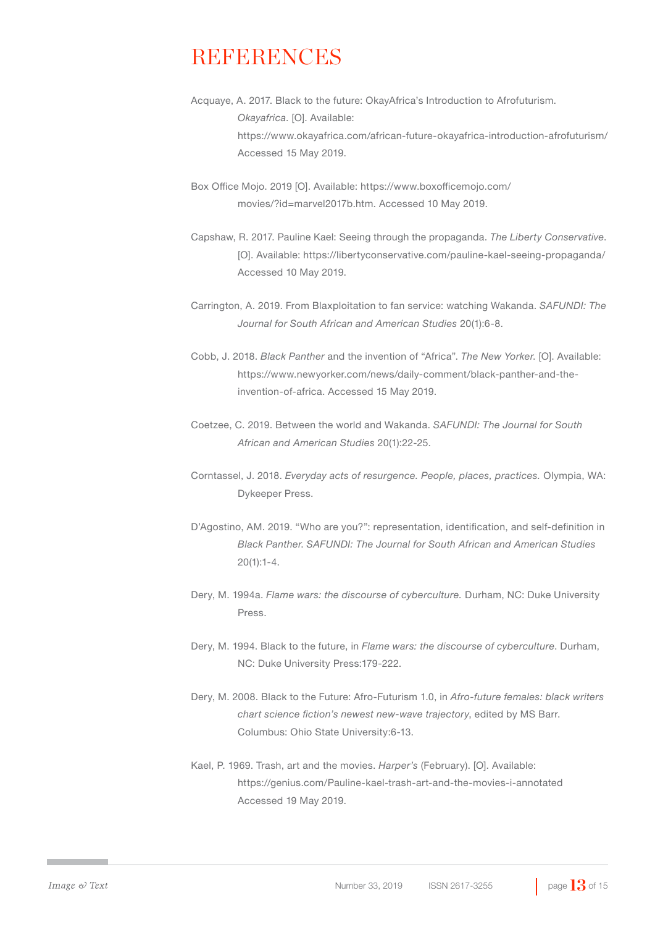#### **REFERENCES**

- Acquaye, A. 2017. Black to the future: OkayAfrica's Introduction to Afrofuturism. *Okayafrica*. [O]. Available: https://www.okayafrica.com/african-future-okayafrica-introduction-afrofuturism/ Accessed 15 May 2019.
- Box Office Mojo. 2019 [O]. Available: https://www.boxofficemojo.com/ movies/?id=marvel2017b.htm. Accessed 10 May 2019.
- Capshaw, R. 2017. Pauline Kael: Seeing through the propaganda. *The Liberty Conservative*. [O]. Available: https://libertyconservative.com/pauline-kael-seeing-propaganda/ Accessed 10 May 2019.
- Carrington, A. 2019. From Blaxploitation to fan service: watching Wakanda. *SAFUNDI: The Journal for South African and American Studies* 20(1):6-8.
- Cobb, J. 2018. *Black Panther* and the invention of "Africa". *The New Yorker*. [O]. Available: https://www.newyorker.com/news/daily-comment/black-panther-and-theinvention-of-africa. Accessed 15 May 2019.
- Coetzee, C. 2019. Between the world and Wakanda. *SAFUNDI: The Journal for South African and American Studies* 20(1):22-25.
- Corntassel, J. 2018. *Everyday acts of resurgence. People, places, practices.* Olympia, WA: Dykeeper Press.
- D'Agostino, AM. 2019. "Who are you?": representation, identification, and self-definition in *Black Panther*. *SAFUNDI: The Journal for South African and American Studies*  20(1):1-4.
- Dery, M. 1994a. *Flame wars: the discourse of cyberculture.* Durham, NC: Duke University Press.
- Dery, M. 1994. Black to the future, in *Flame wars: the discourse of cyberculture*. Durham, NC: Duke University Press:179-222.
- Dery, M. 2008. Black to the Future: Afro-Futurism 1.0, in *Afro-future females: black writers chart science fiction's newest new-wave trajectory*, edited by MS Barr. Columbus: Ohio State University:6-13.
- Kael, P. 1969. Trash, art and the movies. *Harper's* (February). [O]. Available: https://genius.com/Pauline-kael-trash-art-and-the-movies-i-annotated Accessed 19 May 2019.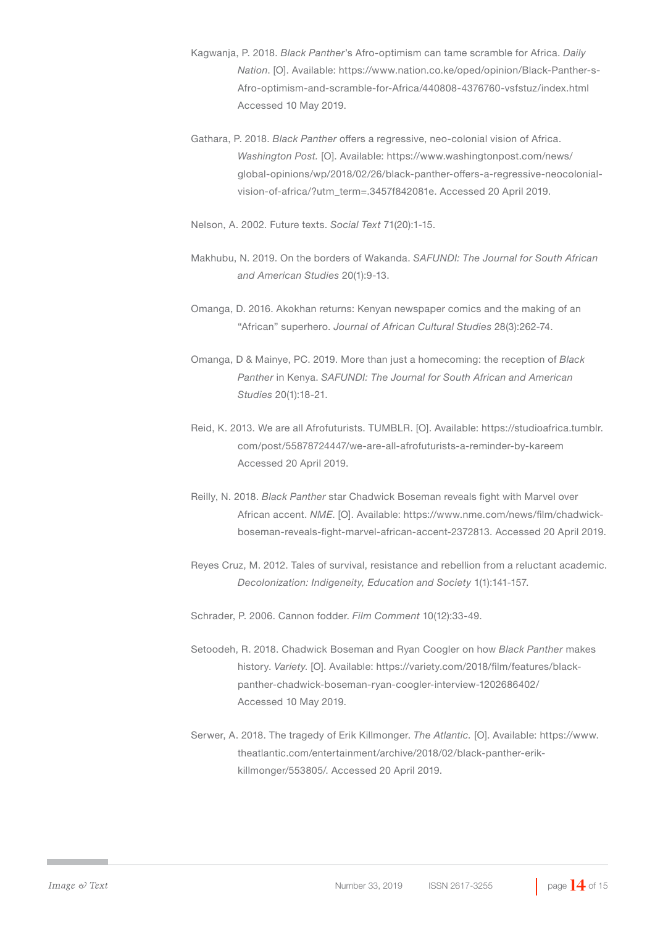- Kagwanja, P. 2018. *Black Panther*'s Afro-optimism can tame scramble for Africa. *Daily Nation*. [O]. Available: https://www.nation.co.ke/oped/opinion/Black-Panther-s-Afro-optimism-and-scramble-for-Africa/440808-4376760-vsfstuz/index.html Accessed 10 May 2019.
- Gathara, P. 2018. *Black Panther* offers a regressive, neo-colonial vision of Africa. *Washington Post.* [O]. Available: https://www.washingtonpost.com/news/ global-opinions/wp/2018/02/26/black-panther-offers-a-regressive-neocolonialvision-of-africa/?utm\_term=.3457f842081e. Accessed 20 April 2019.
- Nelson, A. 2002. Future texts. *Social Text* 71(20):1-15.
- Makhubu, N. 2019. On the borders of Wakanda. *SAFUNDI: The Journal for South African and American Studies* 20(1):9-13.
- Omanga, D. 2016. Akokhan returns: Kenyan newspaper comics and the making of an "African" superhero. *Journal of African Cultural Studies* 28(3):262-74.
- Omanga, D & Mainye, PC. 2019. More than just a homecoming: the reception of *Black Panther* in Kenya. *SAFUNDI: The Journal for South African and American Studies* 20(1):18-21.
- Reid, K. 2013. We are all Afrofuturists. TUMBLR. [O]. Available: https://studioafrica.tumblr. com/post/55878724447/we-are-all-afrofuturists-a-reminder-by-kareem Accessed 20 April 2019.
- Reilly, N. 2018. *Black Panther* star Chadwick Boseman reveals fight with Marvel over African accent. *NME*. [O]. Available: https://www.nme.com/news/film/chadwickboseman-reveals-fight-marvel-african-accent-2372813. Accessed 20 April 2019.
- Reyes Cruz, M. 2012. Tales of survival, resistance and rebellion from a reluctant academic. *Decolonization: Indigeneity, Education and Society* 1(1):141-157.
- Schrader, P. 2006. Cannon fodder. *Film Comment* 10(12):33-49.
- Setoodeh, R. 2018. Chadwick Boseman and Ryan Coogler on how *Black Panther* makes history. *Variety*. [O]. Available: https://variety.com/2018/film/features/blackpanther-chadwick-boseman-ryan-coogler-interview-1202686402/ Accessed 10 May 2019.
- Serwer, A. 2018. The tragedy of Erik Killmonger. *The Atlantic.* [O]. Available: https://www. theatlantic.com/entertainment/archive/2018/02/black-panther-erikkillmonger/553805/. Accessed 20 April 2019.